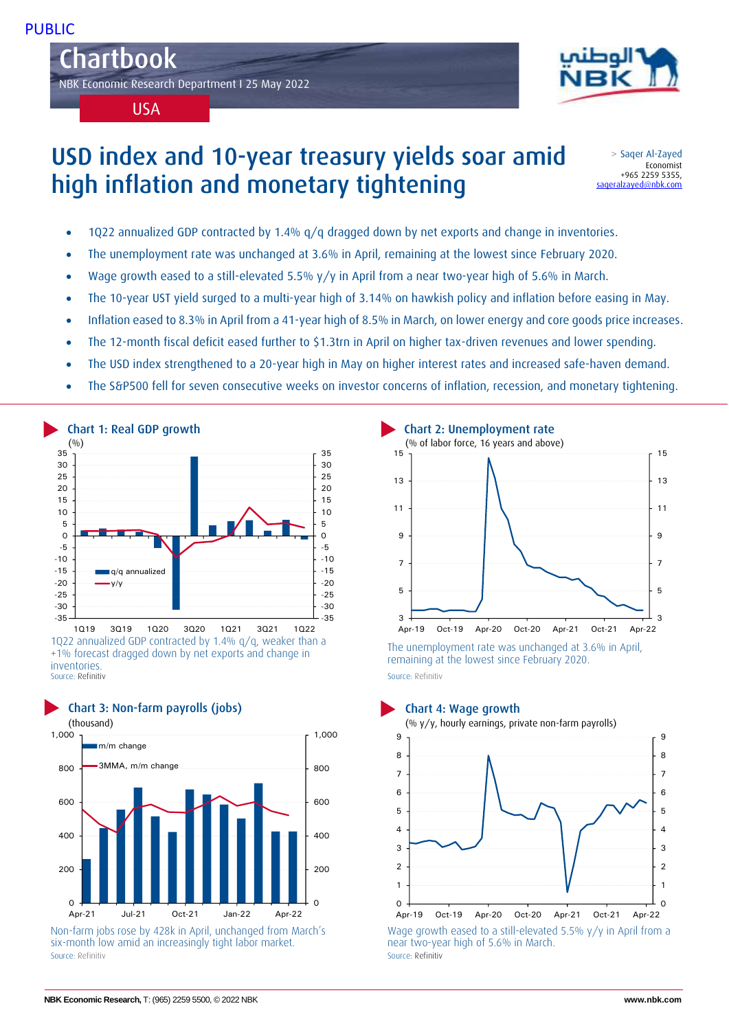Chartbok Chartbook NBK Economic Research Department I 25 May 2022



USA

# USD index and 10-year treasury yields soar amid high inflation and monetary tightening

> Saqer Al-Zayed Economist +965 2259 5355, [saqeralzayed@nbk.com](mailto:saqeralzayed@nbk.com)

- 1Q22 annualized GDP contracted by 1.4% q/q dragged down by net exports and change in inventories.
- The unemployment rate was unchanged at 3.6% in April, remaining at the lowest since February 2020.
- Wage growth eased to a still-elevated 5.5% y/y in April from a near two-year high of 5.6% in March.
- The 10-year UST yield surged to a multi-year high of 3.14% on hawkish policy and inflation before easing in May.
- Inflation eased to 8.3% in April from a 41-year high of 8.5% in March, on lower energy and core goods price increases.
- The 12-month fiscal deficit eased further to \$1.3trn in April on higher tax-driven revenues and lower spending.
- The USD index strengthened to a 20-year high in May on higher interest rates and increased safe-haven demand.
- The S&P500 fell for seven consecutive weeks on investor concerns of inflation, recession, and monetary tightening.



+1% forecast dragged down by net exports and change in inventories. Source: Refinitiv



Non-farm jobs rose by 428k in April, unchanged from March's six-month low amid an increasingly tight labor market. Source: Refinitiv Source: Refinitiv



The unemployment rate was unchanged at 3.6% in April, remaining at the lowest since February 2020.

Source: Refinitiv

## Chart 3: Non-farm payrolls (jobs) Chart 4: Wage growth



near two-year high of 5.6% in March.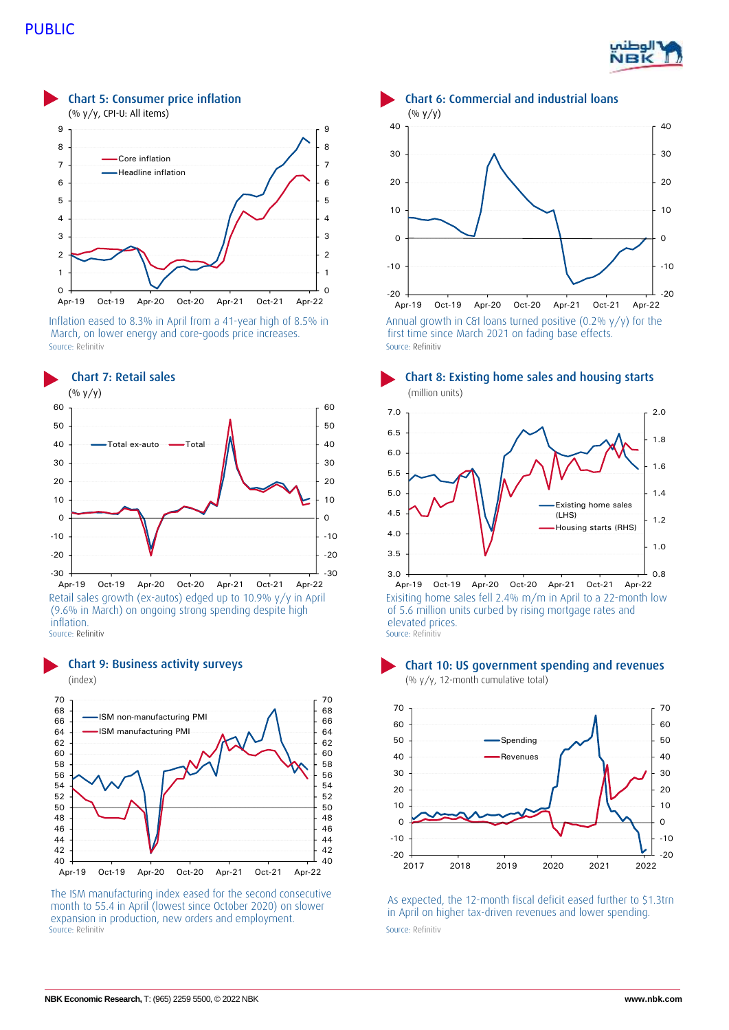



Inflation eased to 8.3% in April from a 41-year high of 8.5% in March, on lower energy and core-goods price increases. Source: Refinitiv Source: Refinitiv Source: Refinitiv Source: Refinitiv Source: Refinitiv



Retail sales growth (ex-autos) edged up to 10.9% y/y in April (9.6% in March) on ongoing strong spending despite high inflation.<br>Source: Refinitiv



The ISM manufacturing index eased for the second consecutive month to 55.4 in April (lowest since October 2020) on slower expansion in production, new orders and employment. Source: Refinitiv Source: Refinitiv Source: Refinitiv



Chart 7: Retail sales Chart 8: Existing home sales and housing starts



Exisiting home sales fell 2.4% m/m in April to a 22-month low of 5.6 million units curbed by rising mortgage rates and elevated prices. Source: Refinitiv





As expected, the 12-month fiscal deficit eased further to \$1.3trn in April on higher tax-driven revenues and lower spending.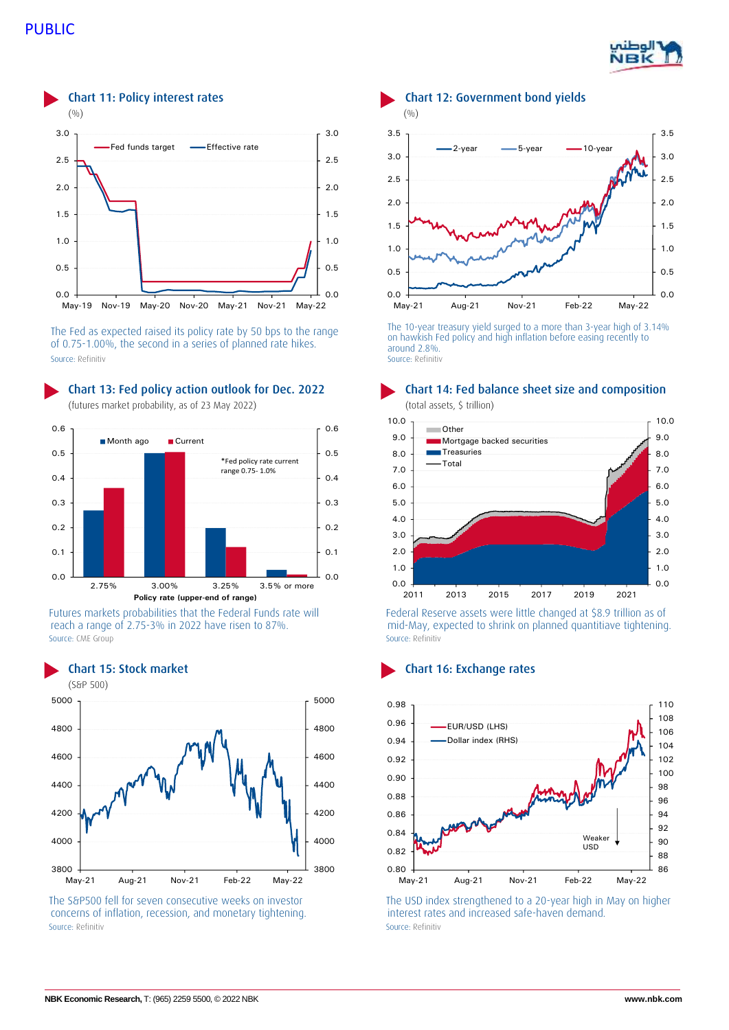# PUBLIC





The Fed as expected raised its policy rate by 50 bps to the range of 0.75-1.00%, the second in a series of planned rate hikes. Source: Refinitiv Source: Refinitiv



Futures markets probabilities that the Federal Funds rate will reach a range of 2.75-3% in 2022 have risen to 87%. Source: CME Group Source: Refinitiv



The S&P500 fell for seven consecutive weeks on investor concerns of inflation, recession, and monetary tightening. Source: Refinitiv Source: Refinitiv Source: Refinitiv Source: Refinitiv Source: Refinitiv



The 10-year treasury yield surged to a more than 3-year high of 3.14% on hawkish Fed policy and high inflation before easing recently to around 2.8%.



Chart 13: Fed policy action outlook for Dec. 2022 Chart 14: Fed balance sheet size and composition

Federal Reserve assets were little changed at \$8.9 trillion as of mid-May, expected to shrink on planned quantitiave tightening.



The USD index strengthened to a 20-year high in May on higher interest rates and increased safe-haven demand.